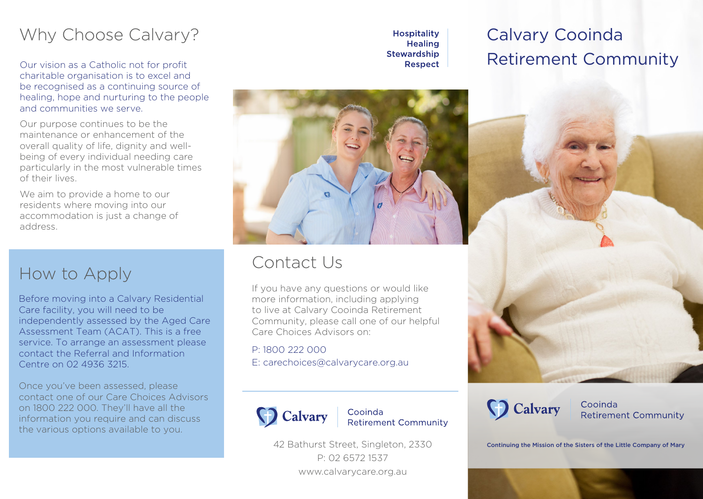## Why Choose Calvary?

Our vision as a Catholic not for profit charitable organisation is to excel and be recognised as a continuing source of healing, hope and nurturing to the people and communities we serve.

Our purpose continues to be the maintenance or enhancement of the overall quality of life, dignity and wellbeing of every individual needing care particularly in the most vulnerable times of their lives.

We aim to provide a home to our residents where moving into our accommodation is just a change of address.

## How to Apply

Before moving into a Calvary Residential Care facility, you will need to be independently assessed by the Aged Care Assessment Team (ACAT). This is a free service. To arrange an assessment please contact the Referral and Information Centre on 02 4936 3215.

Once you've been assessed, please contact one of our Care Choices Advisors on 1800 222 000. They'll have all the information you require and can discuss the various options available to you.

**Hospitality Healing Stewardship Respect** 

# Calvary Cooinda Retirement Community



### Contact Us

If you have any questions or would like more information, including applying to live at Calvary Cooinda Retirement Community, please call one of our helpful Care Choices Advisors on:

P: 1800 222 000 E: carechoices@calvarycare.org.au



Cooinda **Retirement Community** 

42 Bathurst Street, Singleton, 2330 P: 02 6572 1537 www.calvarycare.org.au



Cooinda **Retirement Community** 

Continuing the Mission of the Sisters of the Little Company of Mary